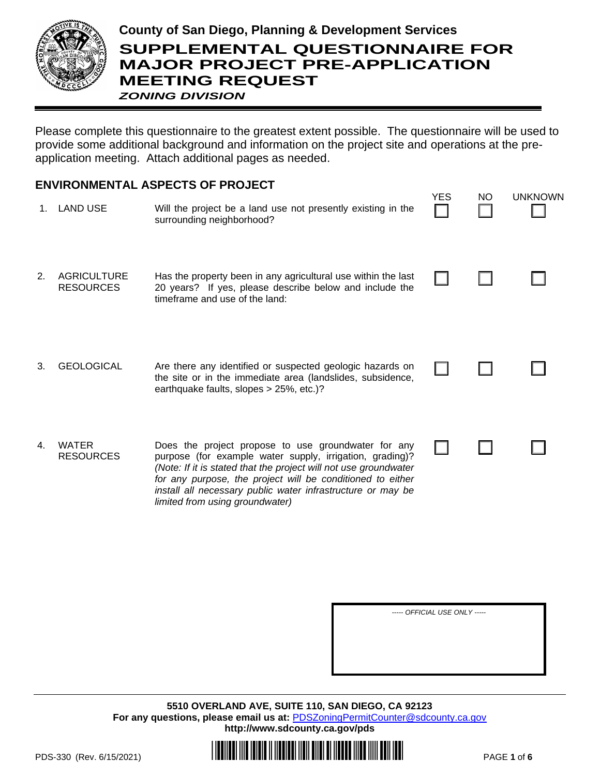

## **County of San Diego, Planning & Development Services SUPPLEMENTAL QUESTIONNAIRE FOR MAJOR PROJECT PRE-APPLICATION MEETING REQUEST** *ZONING DIVISION*

Please complete this questionnaire to the greatest extent possible. The questionnaire will be used to provide some additional background and information on the project site and operations at the preapplication meeting. Attach additional pages as needed.

## **ENVIRONMENTAL ASPECTS OF PROJECT**

|    | 1. LAND USE                            | Will the project be a land use not presently existing in the<br>surrounding neighborhood?                                                                                                                                                                                                                                                           | د⊐ ⊺ | IVU | UNNIVUWIY |
|----|----------------------------------------|-----------------------------------------------------------------------------------------------------------------------------------------------------------------------------------------------------------------------------------------------------------------------------------------------------------------------------------------------------|------|-----|-----------|
| 2. | <b>AGRICULTURE</b><br><b>RESOURCES</b> | Has the property been in any agricultural use within the last<br>20 years? If yes, please describe below and include the<br>timeframe and use of the land:                                                                                                                                                                                          |      |     |           |
| 3. | <b>GEOLOGICAL</b>                      | Are there any identified or suspected geologic hazards on<br>the site or in the immediate area (landslides, subsidence,<br>earthquake faults, slopes > 25%, etc.)?                                                                                                                                                                                  |      |     |           |
| 4. | <b>WATER</b><br><b>RESOURCES</b>       | Does the project propose to use groundwater for any<br>purpose (for example water supply, irrigation, grading)?<br>(Note: If it is stated that the project will not use groundwater<br>for any purpose, the project will be conditioned to either<br>install all necessary public water infrastructure or may be<br>limited from using groundwater) |      |     |           |

*----- OFFICIAL USE ONLY -----*

**5510 OVERLAND AVE, SUITE 110, SAN DIEGO, CA 92123** For any questions, please email us at: **[PDSZoningPermitCounter@sdcounty.ca.gov](mailto:PDSZoningPermitCounter@sdcounty.ca.gov) <http://www.sdcounty.ca.gov/pds>**



YES NO UNKNOWN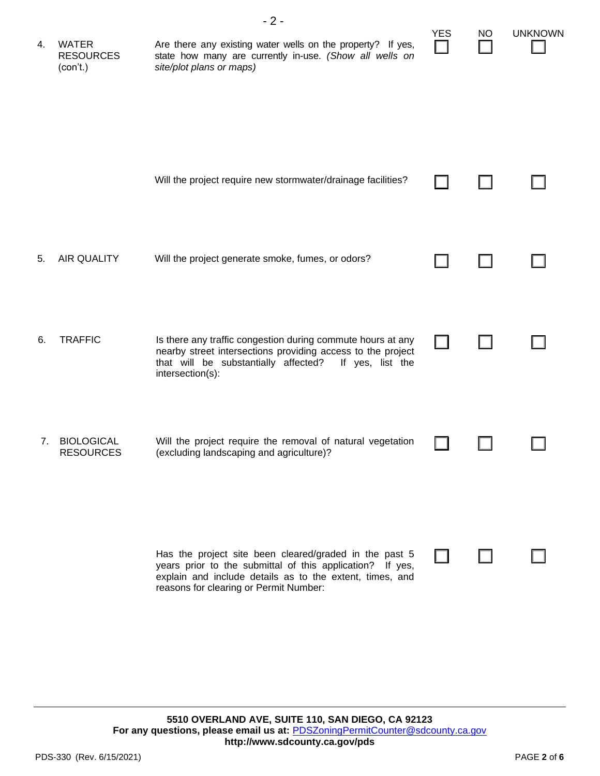| 4. | <b>WATER</b><br><b>RESOURCES</b><br>(con't.) | $-2-$<br>Are there any existing water wells on the property? If yes,<br>state how many are currently in-use. (Show all wells on<br>site/plot plans or maps)                                                               | <b>YES</b> | NO | <b>UNKNOWN</b> |
|----|----------------------------------------------|---------------------------------------------------------------------------------------------------------------------------------------------------------------------------------------------------------------------------|------------|----|----------------|
|    |                                              | Will the project require new stormwater/drainage facilities?                                                                                                                                                              |            |    |                |
| 5. | <b>AIR QUALITY</b>                           | Will the project generate smoke, fumes, or odors?                                                                                                                                                                         |            |    |                |
| 6. | <b>TRAFFIC</b>                               | Is there any traffic congestion during commute hours at any<br>nearby street intersections providing access to the project<br>that will be substantially affected?<br>If yes, list the<br>intersection(s):                |            |    |                |
| 7. | <b>BIOLOGICAL</b><br><b>RESOURCES</b>        | Will the project require the removal of natural vegetation<br>(excluding landscaping and agriculture)?                                                                                                                    |            |    |                |
|    |                                              | Has the project site been cleared/graded in the past 5<br>years prior to the submittal of this application? If yes,<br>explain and include details as to the extent, times, and<br>reasons for clearing or Permit Number: |            |    |                |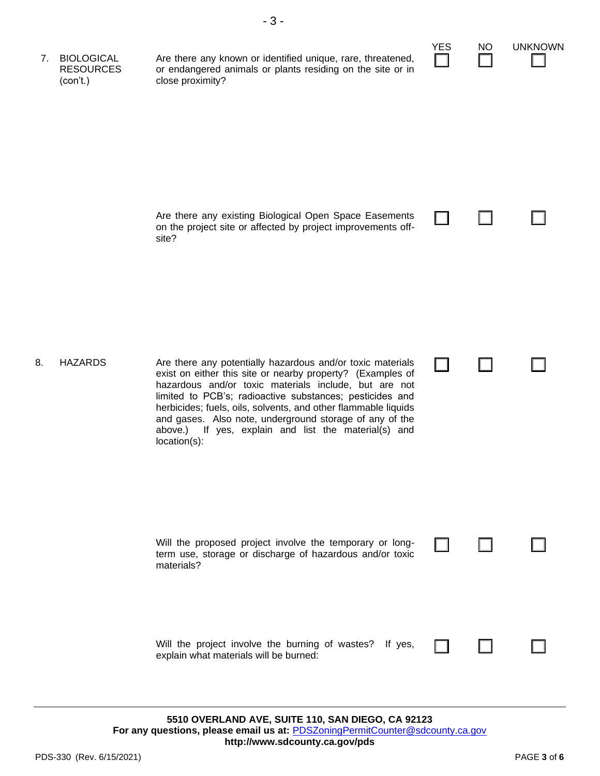| 7. | <b>BIOLOGICAL</b><br><b>RESOURCES</b><br>(con't.) | Are there any known or identified unique, rare, threatened,<br>or endangered animals or plants residing on the site or in<br>close proximity?                                                                                                                                                                                                                                                                                                      | <b>YES</b> | <b>NO</b> | <b>UNKNOWN</b> |
|----|---------------------------------------------------|----------------------------------------------------------------------------------------------------------------------------------------------------------------------------------------------------------------------------------------------------------------------------------------------------------------------------------------------------------------------------------------------------------------------------------------------------|------------|-----------|----------------|
|    |                                                   | Are there any existing Biological Open Space Easements<br>on the project site or affected by project improvements off-<br>site?                                                                                                                                                                                                                                                                                                                    |            |           |                |
| 8. | <b>HAZARDS</b>                                    | Are there any potentially hazardous and/or toxic materials<br>exist on either this site or nearby property? (Examples of<br>hazardous and/or toxic materials include, but are not<br>limited to PCB's; radioactive substances; pesticides and<br>herbicides; fuels, oils, solvents, and other flammable liquids<br>and gases. Also note, underground storage of any of the<br>above.) If yes, explain and list the material(s) and<br>location(s): |            |           |                |
|    |                                                   | Will the proposed project involve the temporary or long-<br>term use, storage or discharge of hazardous and/or toxic<br>materials?                                                                                                                                                                                                                                                                                                                 |            |           |                |
|    |                                                   | Will the project involve the burning of wastes? If yes,<br>explain what materials will be burned:                                                                                                                                                                                                                                                                                                                                                  |            |           |                |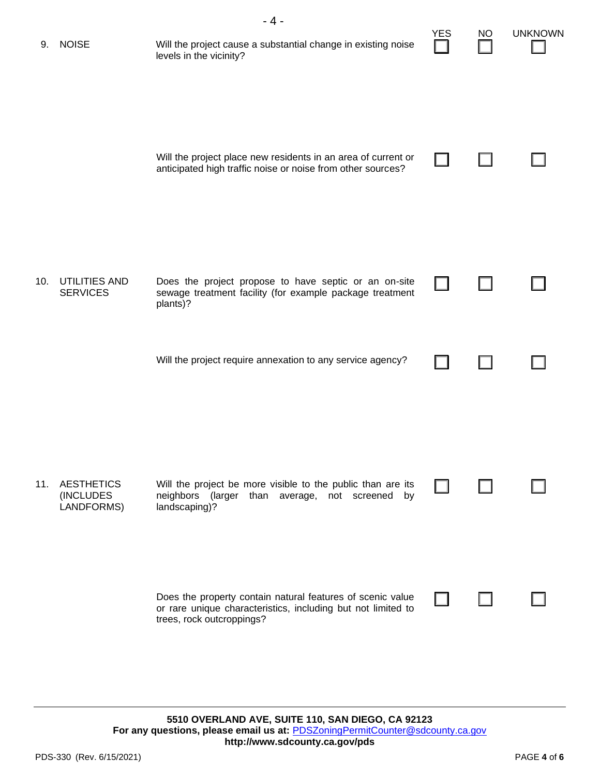| <b>NOISE</b>                                 | - 4 -<br>Will the project cause a substantial change in existing noise<br>levels in the vicinity?                                                       | <b>YES</b> | NO. | <b>UNKNOWN</b> |
|----------------------------------------------|---------------------------------------------------------------------------------------------------------------------------------------------------------|------------|-----|----------------|
|                                              | Will the project place new residents in an area of current or<br>anticipated high traffic noise or noise from other sources?                            |            |     |                |
| UTILITIES AND<br><b>SERVICES</b>             | Does the project propose to have septic or an on-site<br>sewage treatment facility (for example package treatment<br>plants)?                           |            |     |                |
|                                              | Will the project require annexation to any service agency?                                                                                              |            |     |                |
| <b>AESTHETICS</b><br>(INCLUDES<br>LANDFORMS) | Will the project be more visible to the public than are its<br>neighbors (larger than average, not screened<br>by<br>landscaping)?                      |            |     |                |
|                                              | Does the property contain natural features of scenic value<br>or rare unique characteristics, including but not limited to<br>trees, rock outcroppings? |            |     |                |
|                                              | 11.                                                                                                                                                     |            |     |                |

**5510 OVERLAND AVE, SUITE 110, SAN DIEGO, CA 92123** For any questions, please email us at: **[PDSZoningPermitCounter@sdcounty.ca.gov](mailto:PDSZoningPermitCounter@sdcounty.ca.gov) <http://www.sdcounty.ca.gov/pds>**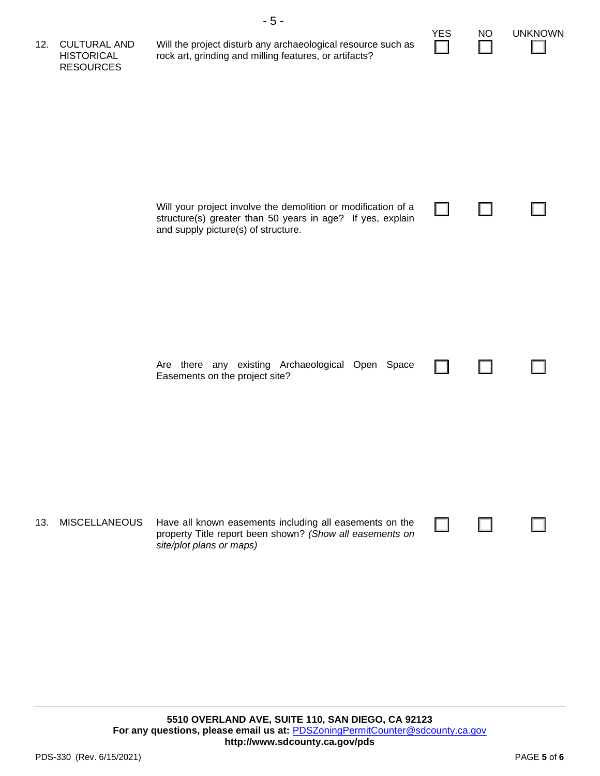| 12. | <b>CULTURAL AND</b><br><b>HISTORICAL</b><br><b>RESOURCES</b> | $-5-$<br>Will the project disturb any archaeological resource such as<br>rock art, grinding and milling features, or artifacts?                                    | <b>YES</b> | <b>NO</b> | <b>UNKNOWN</b> |
|-----|--------------------------------------------------------------|--------------------------------------------------------------------------------------------------------------------------------------------------------------------|------------|-----------|----------------|
|     |                                                              | Will your project involve the demolition or modification of a<br>structure(s) greater than 50 years in age? If yes, explain<br>and supply picture(s) of structure. |            |           |                |
|     |                                                              | Are there any existing Archaeological Open Space<br>Easements on the project site?                                                                                 |            |           |                |
| 13. | <b>MISCELLANEOUS</b>                                         | Have all known easements including all easements on the<br>property Title report been shown? (Show all easements on<br>site/plot plans or maps)                    |            |           |                |